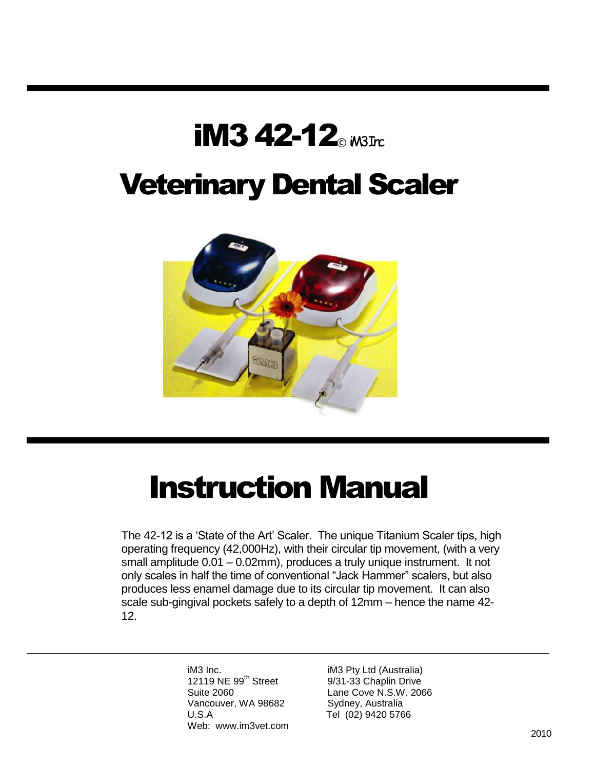# iM3 42-12 $_{\tiny \textcirc}$ <sub>iM3Trc</sub>

# Veterinary Dental Scaler



# Instruction Manual

The 42-12 is a "State of the Art" Scaler. The unique Titanium Scaler tips, high operating frequency (42,000Hz), with their circular tip movement, (with a very small amplitude 0.01 – 0.02mm), produces a truly unique instrument. It not only scales in half the time of conventional "Jack Hammer" scalers, but also produces less enamel damage due to its circular tip movement. It can also scale sub-gingival pockets safely to a depth of 12mm – hence the name 42- 12.

> iM3 Inc. **iM3 Pty Ltd (Australia)** 12119 NE 99<sup>th</sup> Street 9/31-33 Chaplin Drive Vancouver, WA 98682 Sydney, Australia U.S.A Tel (02) 9420 5766 Web: www.im3vet.com

Suite 2060 Lane Cove N.S.W. 2066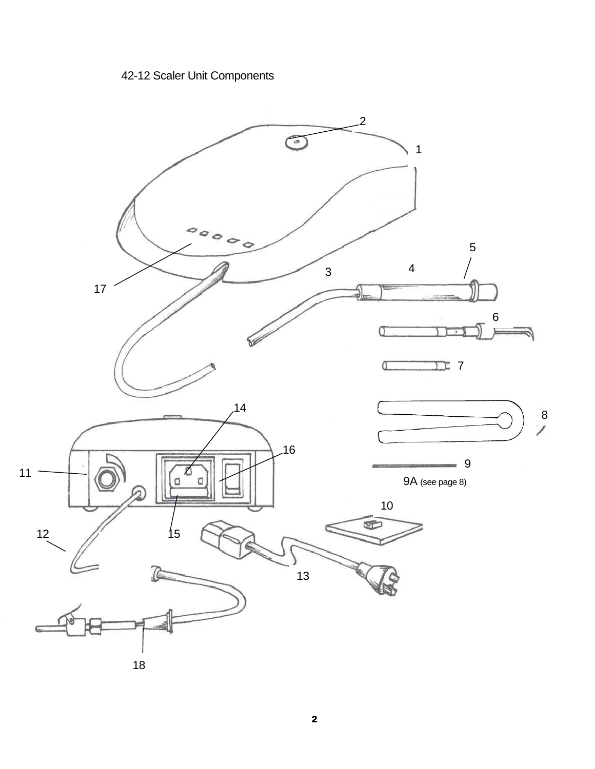### 42-12 Scaler Unit Components

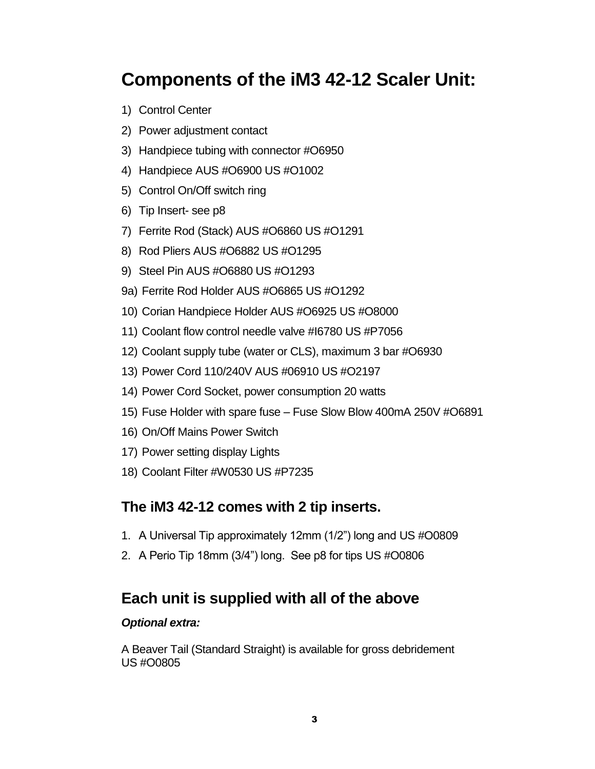## **Components of the iM3 42-12 Scaler Unit:**

- 1) Control Center
- 2) Power adjustment contact
- 3) Handpiece tubing with connector #O6950
- 4) Handpiece AUS #O6900 US #O1002
- 5) Control On/Off switch ring
- 6) Tip Insert- see p8
- 7) Ferrite Rod (Stack) AUS #O6860 US #O1291
- 8) Rod Pliers AUS #O6882 US #O1295
- 9) Steel Pin AUS #O6880 US #O1293
- 9a) Ferrite Rod Holder AUS #O6865 US #O1292
- 10) Corian Handpiece Holder AUS #O6925 US #O8000
- 11) Coolant flow control needle valve #I6780 US #P7056
- 12) Coolant supply tube (water or CLS), maximum 3 bar #O6930
- 13) Power Cord 110/240V AUS #06910 US #O2197
- 14) Power Cord Socket, power consumption 20 watts
- 15) Fuse Holder with spare fuse Fuse Slow Blow 400mA 250V #O6891
- 16) On/Off Mains Power Switch
- 17) Power setting display Lights
- 18) Coolant Filter #W0530 US #P7235

#### **The iM3 42-12 comes with 2 tip inserts.**

- 1. A Universal Tip approximately 12mm (1/2") long and US #O0809
- 2. A Perio Tip 18mm (3/4") long. See p8 for tips US #O0806

#### **Each unit is supplied with all of the above**

#### *Optional extra:*

A Beaver Tail (Standard Straight) is available for gross debridement US #O0805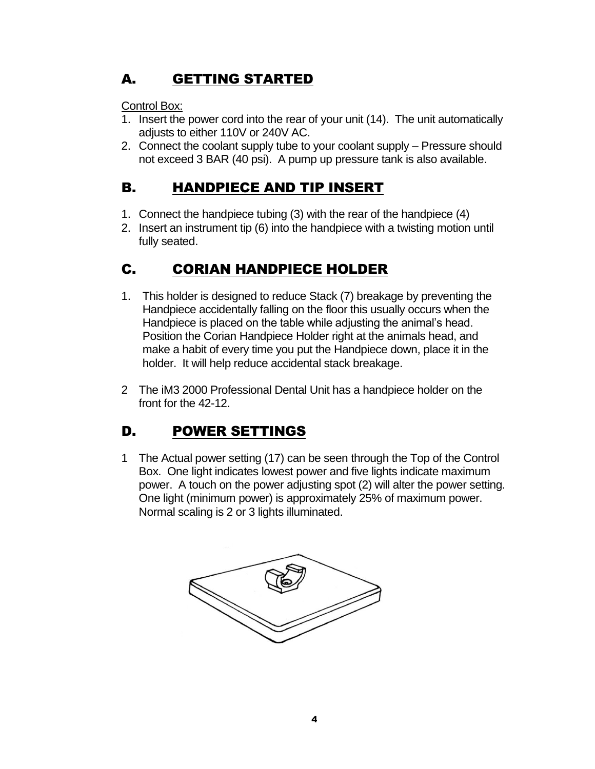## A. GETTING STARTED

Control Box:

- 1. Insert the power cord into the rear of your unit (14). The unit automatically adjusts to either 110V or 240V AC.
- 2. Connect the coolant supply tube to your coolant supply Pressure should not exceed 3 BAR (40 psi). A pump up pressure tank is also available.

## B. HANDPIECE AND TIP INSERT

- 1. Connect the handpiece tubing (3) with the rear of the handpiece (4)
- 2. Insert an instrument tip (6) into the handpiece with a twisting motion until fully seated.

## C. CORIAN HANDPIECE HOLDER

- 1. This holder is designed to reduce Stack (7) breakage by preventing the Handpiece accidentally falling on the floor this usually occurs when the Handpiece is placed on the table while adjusting the animal"s head. Position the Corian Handpiece Holder right at the animals head, and make a habit of every time you put the Handpiece down, place it in the holder. It will help reduce accidental stack breakage.
- 2 The iM3 2000 Professional Dental Unit has a handpiece holder on the front for the 42-12.

## D. POWER SETTINGS

1 The Actual power setting (17) can be seen through the Top of the Control Box. One light indicates lowest power and five lights indicate maximum power. A touch on the power adjusting spot (2) will alter the power setting. One light (minimum power) is approximately 25% of maximum power. Normal scaling is 2 or 3 lights illuminated.

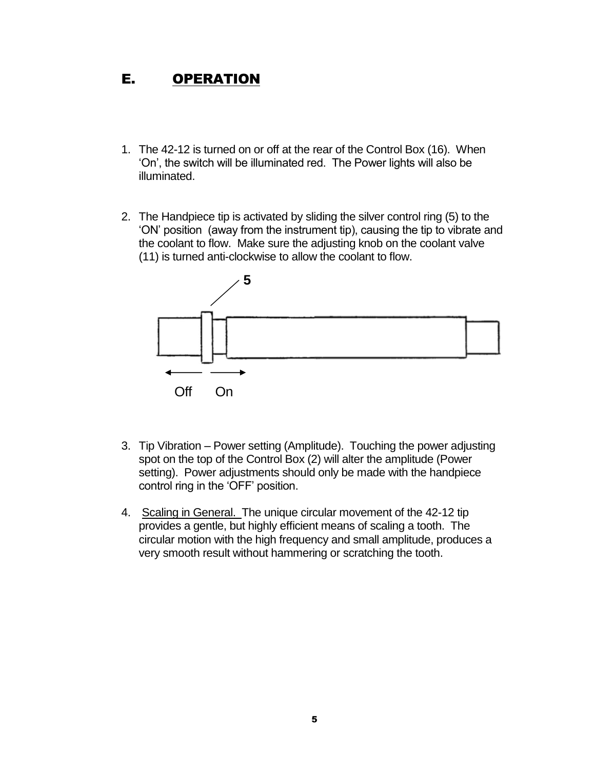#### E. OPERATION

- 1. The 42-12 is turned on or off at the rear of the Control Box (16). When "On", the switch will be illuminated red. The Power lights will also be illuminated.
- 2. The Handpiece tip is activated by sliding the silver control ring (5) to the "ON" position (away from the instrument tip), causing the tip to vibrate and the coolant to flow. Make sure the adjusting knob on the coolant valve (11) is turned anti-clockwise to allow the coolant to flow.



- 3. Tip Vibration Power setting (Amplitude). Touching the power adjusting spot on the top of the Control Box (2) will alter the amplitude (Power setting). Power adjustments should only be made with the handpiece control ring in the 'OFF' position.
- 4. Scaling in General. The unique circular movement of the 42-12 tip provides a gentle, but highly efficient means of scaling a tooth. The circular motion with the high frequency and small amplitude, produces a very smooth result without hammering or scratching the tooth.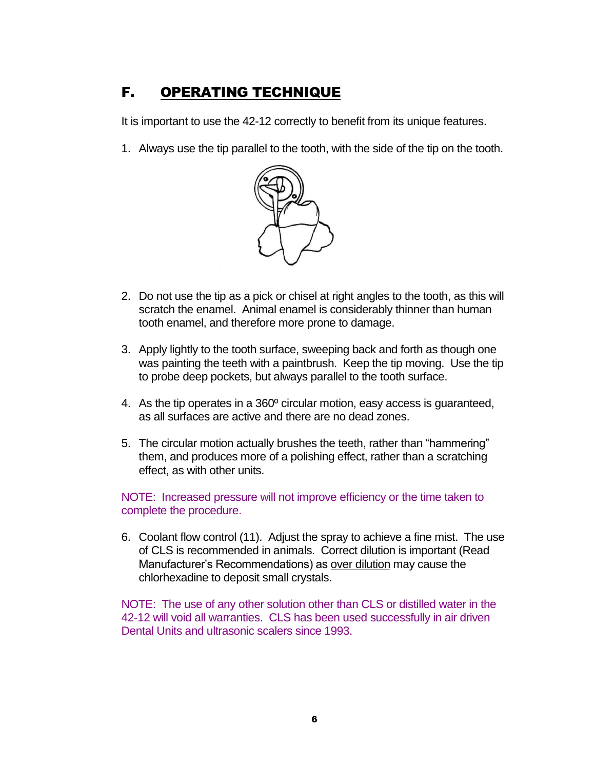### F. OPERATING TECHNIQUE

It is important to use the 42-12 correctly to benefit from its unique features.

1. Always use the tip parallel to the tooth, with the side of the tip on the tooth.



- 2. Do not use the tip as a pick or chisel at right angles to the tooth, as this will scratch the enamel. Animal enamel is considerably thinner than human tooth enamel, and therefore more prone to damage.
- 3. Apply lightly to the tooth surface, sweeping back and forth as though one was painting the teeth with a paintbrush. Keep the tip moving. Use the tip to probe deep pockets, but always parallel to the tooth surface.
- 4. As the tip operates in a 360º circular motion, easy access is guaranteed, as all surfaces are active and there are no dead zones.
- 5. The circular motion actually brushes the teeth, rather than "hammering" them, and produces more of a polishing effect, rather than a scratching effect, as with other units.

#### NOTE: Increased pressure will not improve efficiency or the time taken to complete the procedure.

6. Coolant flow control (11). Adjust the spray to achieve a fine mist. The use of CLS is recommended in animals. Correct dilution is important (Read Manufacturer"s Recommendations) as over dilution may cause the chlorhexadine to deposit small crystals.

NOTE: The use of any other solution other than CLS or distilled water in the 42-12 will void all warranties. CLS has been used successfully in air driven Dental Units and ultrasonic scalers since 1993.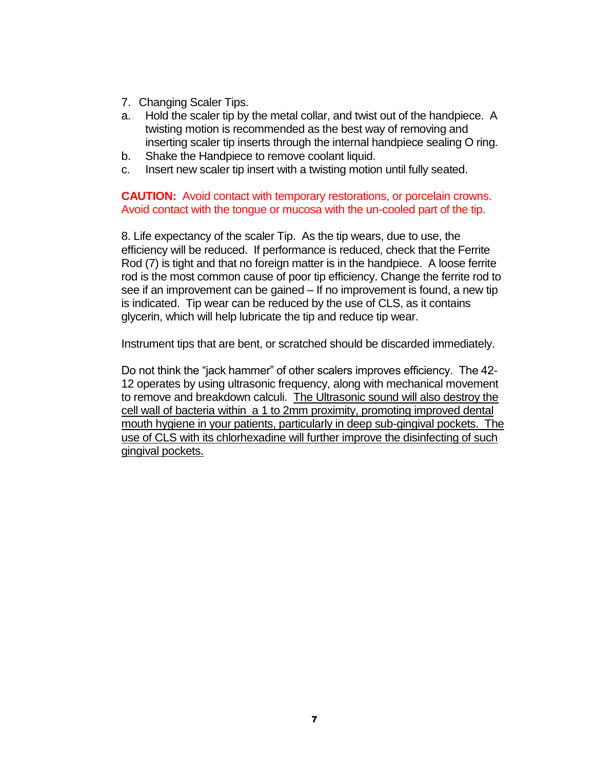- 7. Changing Scaler Tips.
- a. Hold the scaler tip by the metal collar, and twist out of the handpiece. A twisting motion is recommended as the best way of removing and inserting scaler tip inserts through the internal handpiece sealing O ring.
- b. Shake the Handpiece to remove coolant liquid.
- c. Insert new scaler tip insert with a twisting motion until fully seated.

**CAUTION:** Avoid contact with temporary restorations, or porcelain crowns. Avoid contact with the tongue or mucosa with the un-cooled part of the tip.

8. Life expectancy of the scaler Tip. As the tip wears, due to use, the efficiency will be reduced. If performance is reduced, check that the Ferrite Rod (7) is tight and that no foreign matter is in the handpiece. A loose ferrite rod is the most common cause of poor tip efficiency. Change the ferrite rod to see if an improvement can be gained – If no improvement is found, a new tip is indicated. Tip wear can be reduced by the use of CLS, as it contains glycerin, which will help lubricate the tip and reduce tip wear.

Instrument tips that are bent, or scratched should be discarded immediately.

Do not think the "jack hammer" of other scalers improves efficiency. The 42- 12 operates by using ultrasonic frequency, along with mechanical movement to remove and breakdown calculi. The Ultrasonic sound will also destroy the cell wall of bacteria within a 1 to 2mm proximity, promoting improved dental mouth hygiene in your patients, particularly in deep sub-gingival pockets. The use of CLS with its chlorhexadine will further improve the disinfecting of such gingival pockets.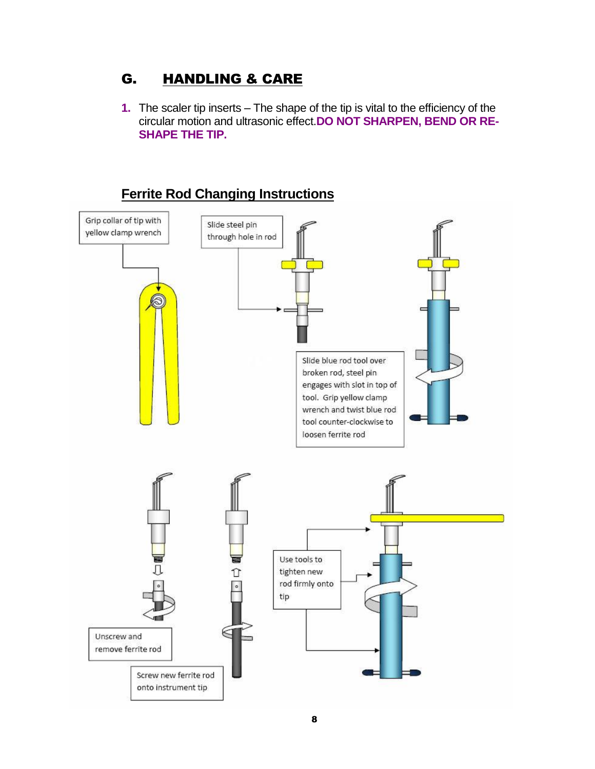#### G. HANDLING & CARE

**1.** The scaler tip inserts – The shape of the tip is vital to the efficiency of the circular motion and ultrasonic effect.**DO NOT SHARPEN, BEND OR RE-SHAPE THE TIP.**

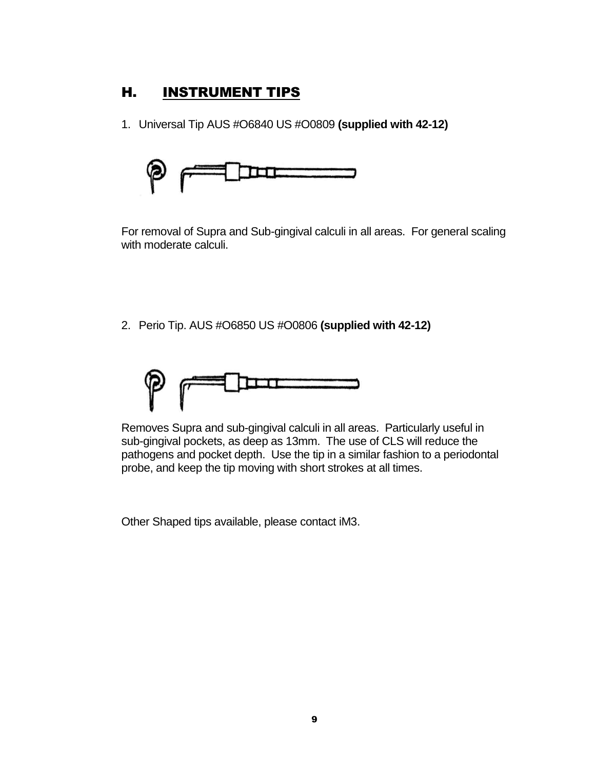#### H. INSTRUMENT TIPS

1. Universal Tip AUS #O6840 US #O0809 **(supplied with 42-12)**



For removal of Supra and Sub-gingival calculi in all areas. For general scaling with moderate calculi.

2. Perio Tip. AUS #O6850 US #O0806 **(supplied with 42-12)**



Removes Supra and sub-gingival calculi in all areas. Particularly useful in sub-gingival pockets, as deep as 13mm. The use of CLS will reduce the pathogens and pocket depth. Use the tip in a similar fashion to a periodontal probe, and keep the tip moving with short strokes at all times.

Other Shaped tips available, please contact iM3.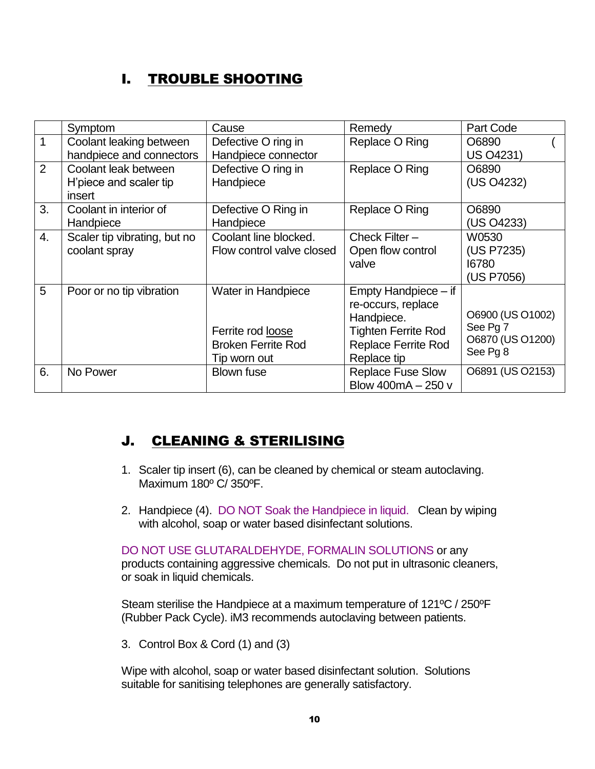## I. TROUBLE SHOOTING

|                | Symptom                      | Cause                     | Remedy                     | Part Code        |
|----------------|------------------------------|---------------------------|----------------------------|------------------|
| $\mathbf{1}$   | Coolant leaking between      | Defective O ring in       | Replace O Ring             | O6890            |
|                | handpiece and connectors     | Handpiece connector       |                            | US 04231)        |
| $\overline{2}$ | Coolant leak between         | Defective O ring in       | Replace O Ring             | O6890            |
|                | H'piece and scaler tip       | Handpiece                 |                            | (US O4232)       |
|                | insert                       |                           |                            |                  |
| 3.             | Coolant in interior of       | Defective O Ring in       | Replace O Ring             | O6890            |
|                | Handpiece                    | Handpiece                 |                            | (US O4233)       |
| 4.             | Scaler tip vibrating, but no | Coolant line blocked.     | Check Filter $-$           | W0530            |
|                | coolant spray                | Flow control valve closed | Open flow control          | (US P7235)       |
|                |                              |                           | valve                      | 16780            |
|                |                              |                           |                            | (US P7056)       |
| 5              | Poor or no tip vibration     | Water in Handpiece        | Empty Handpiece – if       |                  |
|                |                              |                           | re-occurs, replace         |                  |
|                |                              |                           | Handpiece.                 | O6900 (US O1002) |
|                |                              | Ferrite rod loose         | <b>Tighten Ferrite Rod</b> | See Pg 7         |
|                |                              | <b>Broken Ferrite Rod</b> | <b>Replace Ferrite Rod</b> | O6870 (US O1200) |
|                |                              | Tip worn out              | Replace tip                | See Pg 8         |
| 6.             | No Power                     | <b>Blown fuse</b>         | <b>Replace Fuse Slow</b>   | O6891 (US O2153) |
|                |                              |                           | Blow $400mA - 250v$        |                  |

#### J. CLEANING & STERILISING

- 1. Scaler tip insert (6), can be cleaned by chemical or steam autoclaving. Maximum 180º C/ 350ºF.
- 2. Handpiece (4). DO NOT Soak the Handpiece in liquid. Clean by wiping with alcohol, soap or water based disinfectant solutions.

DO NOT USE GLUTARALDEHYDE, FORMALIN SOLUTIONS or any products containing aggressive chemicals. Do not put in ultrasonic cleaners, or soak in liquid chemicals.

Steam sterilise the Handpiece at a maximum temperature of 121ºC / 250ºF (Rubber Pack Cycle). iM3 recommends autoclaving between patients.

3. Control Box & Cord (1) and (3)

Wipe with alcohol, soap or water based disinfectant solution. Solutions suitable for sanitising telephones are generally satisfactory.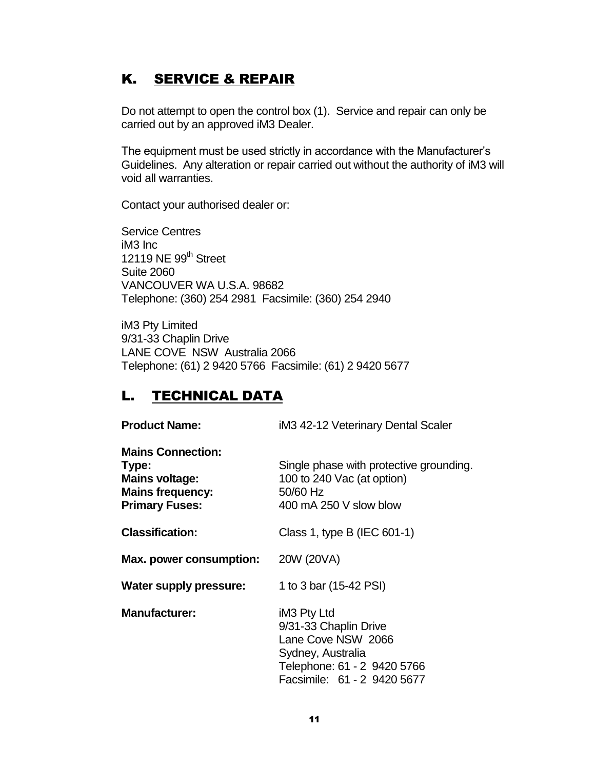### K. SERVICE & REPAIR

Do not attempt to open the control box (1). Service and repair can only be carried out by an approved iM3 Dealer.

The equipment must be used strictly in accordance with the Manufacturer"s Guidelines. Any alteration or repair carried out without the authority of iM3 will void all warranties.

Contact your authorised dealer or:

Service Centres iM3 Inc 12119 NE 99<sup>th</sup> Street Suite 2060 VANCOUVER WA U.S.A. 98682 Telephone: (360) 254 2981 Facsimile: (360) 254 2940

iM3 Pty Limited 9/31-33 Chaplin Drive LANE COVE NSW Australia 2066 Telephone: (61) 2 9420 5766 Facsimile: (61) 2 9420 5677

### L. TECHNICAL DATA

| <b>Product Name:</b>                                                                                           | iM3 42-12 Veterinary Dental Scaler                                                                                                            |
|----------------------------------------------------------------------------------------------------------------|-----------------------------------------------------------------------------------------------------------------------------------------------|
| <b>Mains Connection:</b><br>Type:<br><b>Mains voltage:</b><br><b>Mains frequency:</b><br><b>Primary Fuses:</b> | Single phase with protective grounding.<br>100 to 240 Vac (at option)<br>50/60 Hz<br>400 mA 250 V slow blow                                   |
| <b>Classification:</b>                                                                                         | Class 1, type B (IEC 601-1)                                                                                                                   |
| Max. power consumption:                                                                                        | 20W (20VA)                                                                                                                                    |
| Water supply pressure:                                                                                         | 1 to 3 bar (15-42 PSI)                                                                                                                        |
| <b>Manufacturer:</b>                                                                                           | iM3 Pty Ltd<br>9/31-33 Chaplin Drive<br>Lane Cove NSW 2066<br>Sydney, Australia<br>Telephone: 61 - 2 9420 5766<br>Facsimile: 61 - 2 9420 5677 |